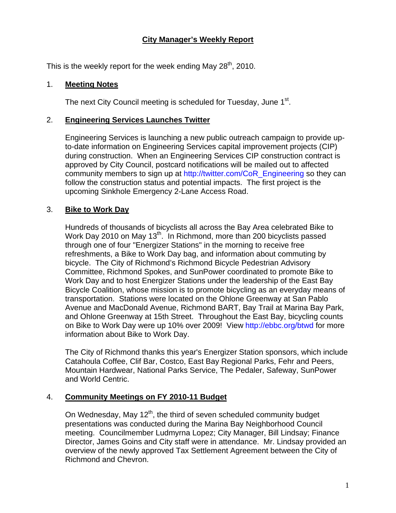## **City Manager's Weekly Report**

This is the weekly report for the week ending May  $28<sup>th</sup>$ , 2010.

#### 1. **Meeting Notes**

The next City Council meeting is scheduled for Tuesday, June 1<sup>st</sup>.

#### 2. **Engineering Services Launches Twitter**

Engineering Services is launching a new public outreach campaign to provide upto-date information on Engineering Services capital improvement projects (CIP) during construction. When an Engineering Services CIP construction contract is approved by City Council, postcard notifications will be mailed out to affected community members to sign up at [http://twitter.com/CoR\\_Engineering](http://twitter.com/CoR_Engineering) so they can follow the construction status and potential impacts. The first project is the upcoming Sinkhole Emergency 2-Lane Access Road.

#### 3. **Bike to Work Day**

Hundreds of thousands of bicyclists all across the Bay Area celebrated Bike to Work Day 2010 on May 13<sup>th</sup>. In Richmond, more than 200 bicyclists passed through one of four "Energizer Stations" in the morning to receive free refreshments, a Bike to Work Day bag, and information about commuting by bicycle. The City of Richmond's Richmond Bicycle Pedestrian Advisory Committee, Richmond Spokes, and SunPower coordinated to promote Bike to Work Day and to host Energizer Stations under the leadership of the East Bay Bicycle Coalition, whose mission is to promote bicycling as an everyday means of transportation. Stations were located on the Ohlone Greenway at San Pablo Avenue and MacDonald Avenue, Richmond BART, Bay Trail at Marina Bay Park, and Ohlone Greenway at 15th Street. Throughout the East Bay, bicycling counts on Bike to Work Day were up 10% over 2009! View <http://ebbc.org/btwd>for more information about Bike to Work Day.

The City of Richmond thanks this year's Energizer Station sponsors, which include Catahoula Coffee, Clif Bar, Costco, East Bay Regional Parks, Fehr and Peers, Mountain Hardwear, National Parks Service, The Pedaler, Safeway, SunPower and World Centric.

## 4. **Community Meetings on FY 2010-11 Budget**

On Wednesday, May  $12<sup>th</sup>$ , the third of seven scheduled community budget presentations was conducted during the Marina Bay Neighborhood Council meeting. Councilmember Ludmyrna Lopez; City Manager, Bill Lindsay; Finance Director, James Goins and City staff were in attendance. Mr. Lindsay provided an overview of the newly approved Tax Settlement Agreement between the City of Richmond and Chevron.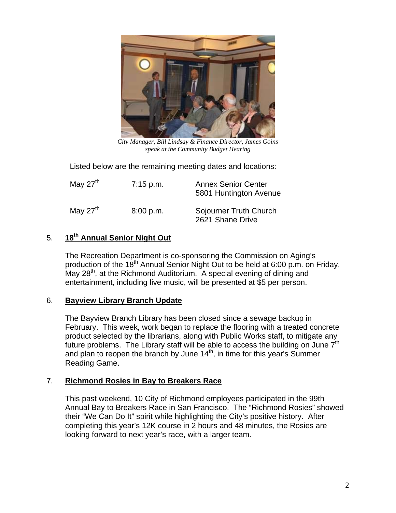

*City Manager, Bill Lindsay & Finance Director, James Goins speak at the Community Budget Hearing* 

Listed below are the remaining meeting dates and locations:

| May $27th$ | $7:15$ p.m. | <b>Annex Senior Center</b><br>5801 Huntington Avenue |
|------------|-------------|------------------------------------------------------|
| May $27th$ | 8:00 p.m.   | Sojourner Truth Church<br>2621 Shane Drive           |

# 5. **18th Annual Senior Night Out**

The Recreation Department is co-sponsoring the Commission on Aging's production of the  $18<sup>th</sup>$  Annual Senior Night Out to be held at 6:00 p.m. on Friday, May 28<sup>th</sup>, at the Richmond Auditorium. A special evening of dining and entertainment, including live music, will be presented at \$5 per person.

## 6. **Bayview Library Branch Update**

The Bayview Branch Library has been closed since a sewage backup in February. This week, work began to replace the flooring with a treated concrete product selected by the librarians, along with Public Works staff, to mitigate any future problems. The Library staff will be able to access the building on June  $7<sup>th</sup>$ and plan to reopen the branch by June  $14<sup>th</sup>$ , in time for this year's Summer Reading Game.

## 7. **Richmond Rosies in Bay to Breakers Race**

This past weekend, 10 City of Richmond employees participated in the 99th Annual Bay to Breakers Race in San Francisco. The "Richmond Rosies" showed their "We Can Do It" spirit while highlighting the City's positive history. After completing this year's 12K course in 2 hours and 48 minutes, the Rosies are looking forward to next year's race, with a larger team.